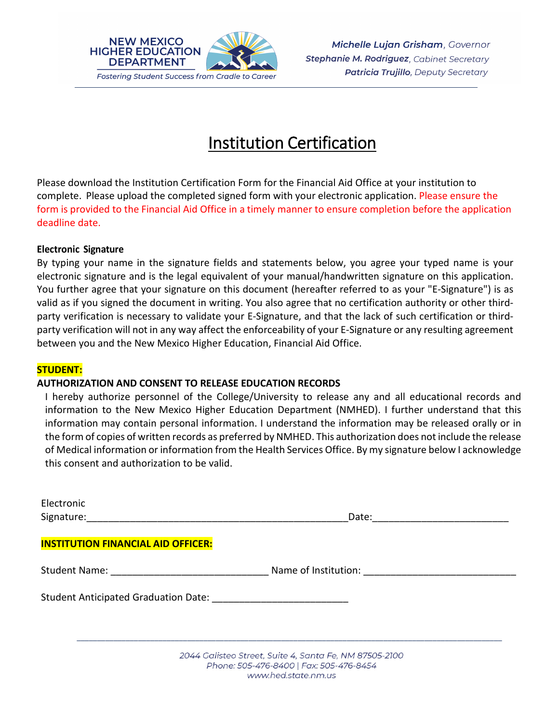

# Institution Certification

Please download the Institution Certification Form for the Financial Aid Office at your institution to complete. Please upload the completed signed form with your electronic application. Please ensure the form is provided to the Financial Aid Office in a timely manner to ensure completion before the application deadline date.

### **Electronic Signature**

By typing your name in the signature fields and statements below, you agree your typed name is your electronic signature and is the legal equivalent of your manual/handwritten signature on this application. You further agree that your signature on this document (hereafter referred to as your "E-Signature") is as valid as if you signed the document in writing. You also agree that no certification authority or other thirdparty verification is necessary to validate your E-Signature, and that the lack of such certification or thirdparty verification will not in any way affect the enforceability of your E-Signature or any resulting agreement between you and the New Mexico Higher Education, Financial Aid Office.

#### **STUDENT:**

#### **AUTHORIZATION AND CONSENT TO RELEASE EDUCATION RECORDS**

I hereby authorize personnel of the College/University to release any and all educational records and information to the New Mexico Higher Education Department (NMHED). I further understand that this information may contain personal information. I understand the information may be released orally or in the form of copies of written records as preferred by NMHED. This authorization does not include the release of Medical information or information from the Health Services Office. By my signature below I acknowledge this consent and authorization to be valid.

| Electronic                                                                 |                                           |  |
|----------------------------------------------------------------------------|-------------------------------------------|--|
|                                                                            | Date:                                     |  |
| <b>INSTITUTION FINANCIAL AID OFFICER:</b>                                  |                                           |  |
|                                                                            |                                           |  |
|                                                                            | Name of Institution: Name of Institution: |  |
| Student Anticipated Graduation Date: National Anticipated Graduation Date: |                                           |  |
|                                                                            |                                           |  |
|                                                                            |                                           |  |

2044 Galisteo Street, Suite 4, Santa Fe, NM 87505-2100 Phone: 505-476-8400 | Fax: 505-476-8454 www.hed.state.nm.us